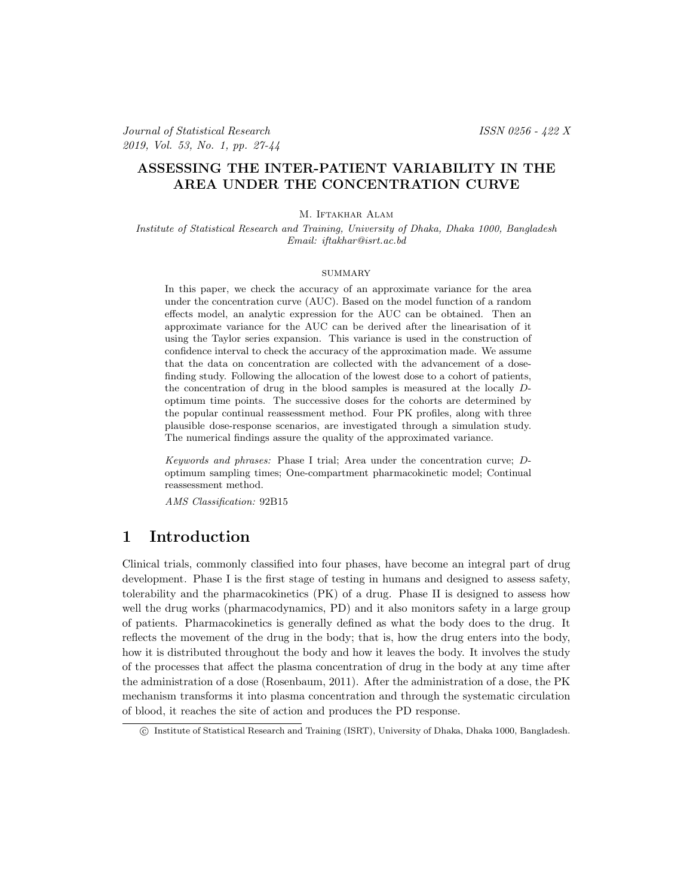### ASSESSING THE INTER-PATIENT VARIABILITY IN THE AREA UNDER THE CONCENTRATION CURVE

M. IFTAKHAR ALAM

Institute of Statistical Research and Training, University of Dhaka, Dhaka 1000, Bangladesh Email: iftakhar@isrt.ac.bd

#### **SUMMARY**

In this paper, we check the accuracy of an approximate variance for the area under the concentration curve (AUC). Based on the model function of a random effects model, an analytic expression for the AUC can be obtained. Then an approximate variance for the AUC can be derived after the linearisation of it using the Taylor series expansion. This variance is used in the construction of confidence interval to check the accuracy of the approximation made. We assume that the data on concentration are collected with the advancement of a dosefinding study. Following the allocation of the lowest dose to a cohort of patients, the concentration of drug in the blood samples is measured at the locally Doptimum time points. The successive doses for the cohorts are determined by the popular continual reassessment method. Four PK profiles, along with three plausible dose-response scenarios, are investigated through a simulation study. The numerical findings assure the quality of the approximated variance.

Keywords and phrases: Phase I trial; Area under the concentration curve; Doptimum sampling times; One-compartment pharmacokinetic model; Continual reassessment method.

AMS Classification: 92B15

# 1 Introduction

Clinical trials, commonly classified into four phases, have become an integral part of drug development. Phase I is the first stage of testing in humans and designed to assess safety, tolerability and the pharmacokinetics (PK) of a drug. Phase II is designed to assess how well the drug works (pharmacodynamics, PD) and it also monitors safety in a large group of patients. Pharmacokinetics is generally defined as what the body does to the drug. It reflects the movement of the drug in the body; that is, how the drug enters into the body, how it is distributed throughout the body and how it leaves the body. It involves the study of the processes that affect the plasma concentration of drug in the body at any time after the administration of a dose (Rosenbaum, 2011). After the administration of a dose, the PK mechanism transforms it into plasma concentration and through the systematic circulation of blood, it reaches the site of action and produces the PD response.

c Institute of Statistical Research and Training (ISRT), University of Dhaka, Dhaka 1000, Bangladesh.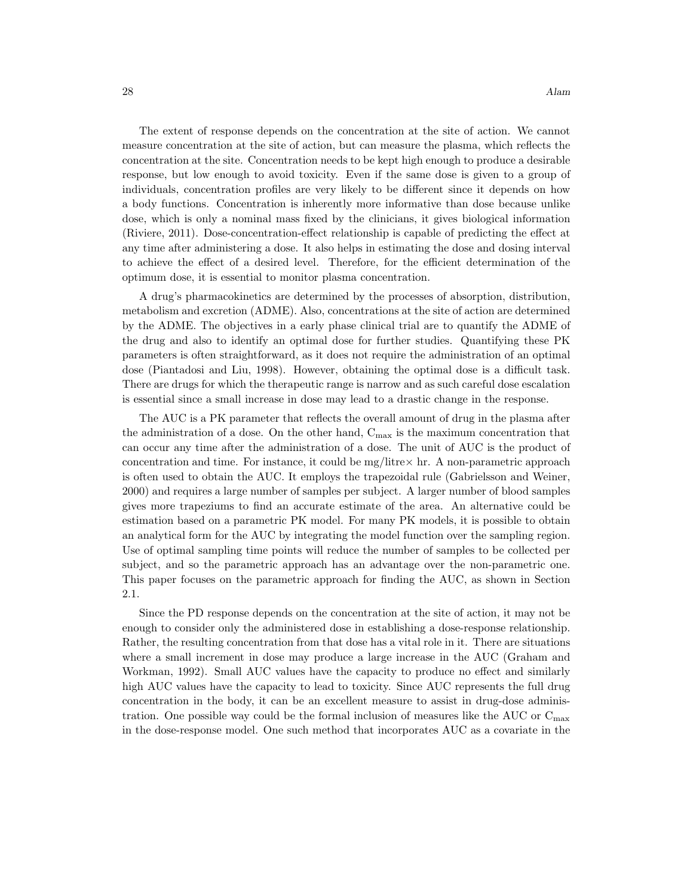The extent of response depends on the concentration at the site of action. We cannot measure concentration at the site of action, but can measure the plasma, which reflects the concentration at the site. Concentration needs to be kept high enough to produce a desirable response, but low enough to avoid toxicity. Even if the same dose is given to a group of individuals, concentration profiles are very likely to be different since it depends on how a body functions. Concentration is inherently more informative than dose because unlike dose, which is only a nominal mass fixed by the clinicians, it gives biological information (Riviere, 2011). Dose-concentration-effect relationship is capable of predicting the effect at any time after administering a dose. It also helps in estimating the dose and dosing interval to achieve the effect of a desired level. Therefore, for the efficient determination of the optimum dose, it is essential to monitor plasma concentration.

A drug's pharmacokinetics are determined by the processes of absorption, distribution, metabolism and excretion (ADME). Also, concentrations at the site of action are determined by the ADME. The objectives in a early phase clinical trial are to quantify the ADME of the drug and also to identify an optimal dose for further studies. Quantifying these PK parameters is often straightforward, as it does not require the administration of an optimal dose (Piantadosi and Liu, 1998). However, obtaining the optimal dose is a difficult task. There are drugs for which the therapeutic range is narrow and as such careful dose escalation is essential since a small increase in dose may lead to a drastic change in the response.

The AUC is a PK parameter that reflects the overall amount of drug in the plasma after the administration of a dose. On the other hand,  $C_{\text{max}}$  is the maximum concentration that can occur any time after the administration of a dose. The unit of AUC is the product of concentration and time. For instance, it could be  $mg/l$  it re $\times$  hr. A non-parametric approach is often used to obtain the AUC. It employs the trapezoidal rule (Gabrielsson and Weiner, 2000) and requires a large number of samples per subject. A larger number of blood samples gives more trapeziums to find an accurate estimate of the area. An alternative could be estimation based on a parametric PK model. For many PK models, it is possible to obtain an analytical form for the AUC by integrating the model function over the sampling region. Use of optimal sampling time points will reduce the number of samples to be collected per subject, and so the parametric approach has an advantage over the non-parametric one. This paper focuses on the parametric approach for finding the AUC, as shown in Section 2.1.

Since the PD response depends on the concentration at the site of action, it may not be enough to consider only the administered dose in establishing a dose-response relationship. Rather, the resulting concentration from that dose has a vital role in it. There are situations where a small increment in dose may produce a large increase in the AUC (Graham and Workman, 1992). Small AUC values have the capacity to produce no effect and similarly high AUC values have the capacity to lead to toxicity. Since AUC represents the full drug concentration in the body, it can be an excellent measure to assist in drug-dose administration. One possible way could be the formal inclusion of measures like the AUC or  $C_{\text{max}}$ in the dose-response model. One such method that incorporates AUC as a covariate in the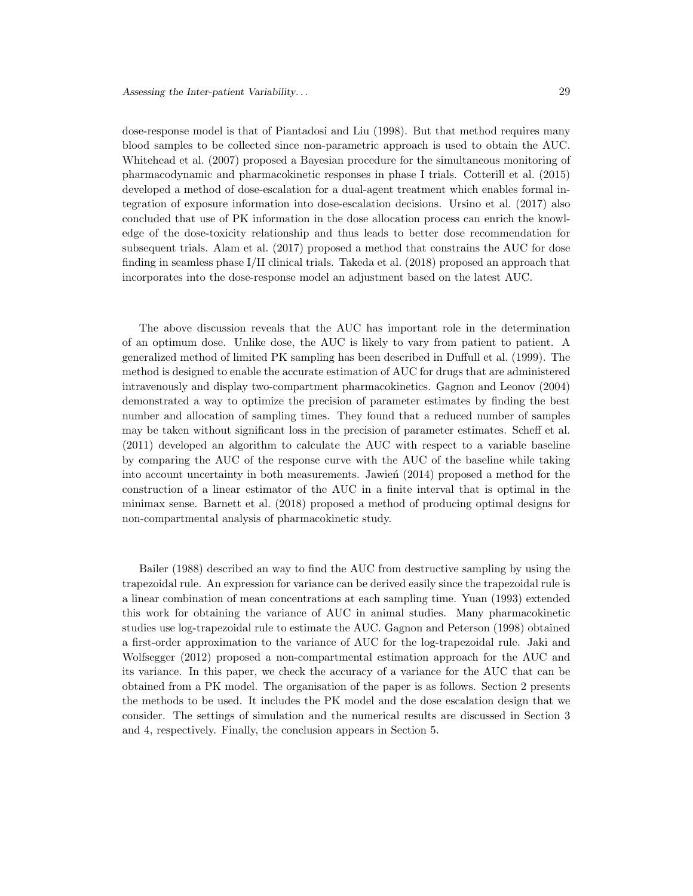dose-response model is that of Piantadosi and Liu (1998). But that method requires many blood samples to be collected since non-parametric approach is used to obtain the AUC. Whitehead et al. (2007) proposed a Bayesian procedure for the simultaneous monitoring of pharmacodynamic and pharmacokinetic responses in phase I trials. Cotterill et al. (2015) developed a method of dose-escalation for a dual-agent treatment which enables formal integration of exposure information into dose-escalation decisions. Ursino et al. (2017) also concluded that use of PK information in the dose allocation process can enrich the knowledge of the dose-toxicity relationship and thus leads to better dose recommendation for subsequent trials. Alam et al. (2017) proposed a method that constrains the AUC for dose finding in seamless phase I/II clinical trials. Takeda et al. (2018) proposed an approach that incorporates into the dose-response model an adjustment based on the latest AUC.

The above discussion reveals that the AUC has important role in the determination of an optimum dose. Unlike dose, the AUC is likely to vary from patient to patient. A generalized method of limited PK sampling has been described in Duffull et al. (1999). The method is designed to enable the accurate estimation of AUC for drugs that are administered intravenously and display two-compartment pharmacokinetics. Gagnon and Leonov (2004) demonstrated a way to optimize the precision of parameter estimates by finding the best number and allocation of sampling times. They found that a reduced number of samples may be taken without significant loss in the precision of parameter estimates. Scheff et al. (2011) developed an algorithm to calculate the AUC with respect to a variable baseline by comparing the AUC of the response curve with the AUC of the baseline while taking into account uncertainty in both measurements. Jawien  $(2014)$  proposed a method for the construction of a linear estimator of the AUC in a finite interval that is optimal in the minimax sense. Barnett et al. (2018) proposed a method of producing optimal designs for non-compartmental analysis of pharmacokinetic study.

Bailer (1988) described an way to find the AUC from destructive sampling by using the trapezoidal rule. An expression for variance can be derived easily since the trapezoidal rule is a linear combination of mean concentrations at each sampling time. Yuan (1993) extended this work for obtaining the variance of AUC in animal studies. Many pharmacokinetic studies use log-trapezoidal rule to estimate the AUC. Gagnon and Peterson (1998) obtained a first-order approximation to the variance of AUC for the log-trapezoidal rule. Jaki and Wolfsegger (2012) proposed a non-compartmental estimation approach for the AUC and its variance. In this paper, we check the accuracy of a variance for the AUC that can be obtained from a PK model. The organisation of the paper is as follows. Section 2 presents the methods to be used. It includes the PK model and the dose escalation design that we consider. The settings of simulation and the numerical results are discussed in Section 3 and 4, respectively. Finally, the conclusion appears in Section 5.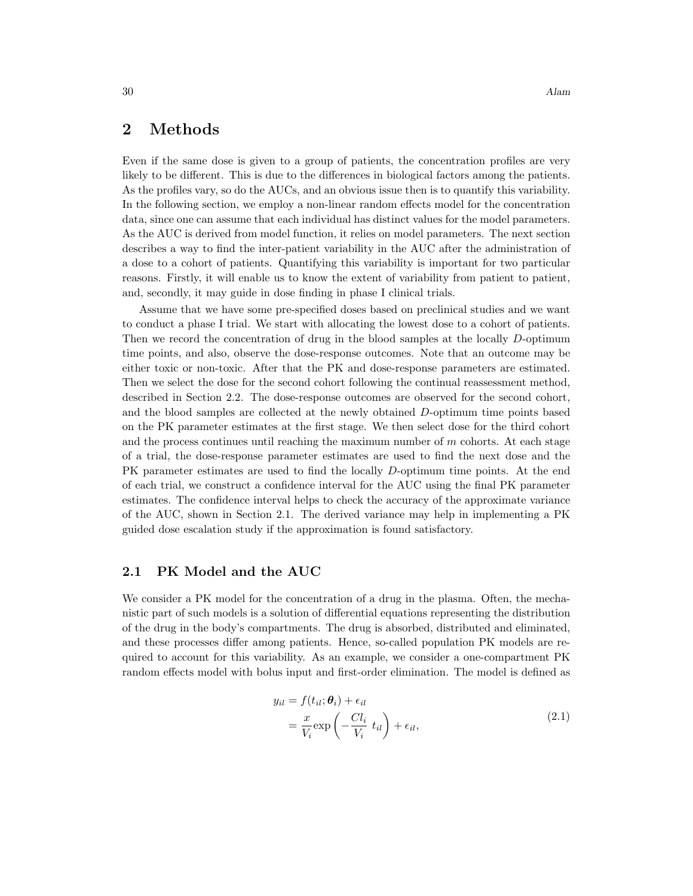## 2 Methods

Even if the same dose is given to a group of patients, the concentration profiles are very likely to be different. This is due to the differences in biological factors among the patients. As the profiles vary, so do the AUCs, and an obvious issue then is to quantify this variability. In the following section, we employ a non-linear random effects model for the concentration data, since one can assume that each individual has distinct values for the model parameters. As the AUC is derived from model function, it relies on model parameters. The next section describes a way to find the inter-patient variability in the AUC after the administration of a dose to a cohort of patients. Quantifying this variability is important for two particular reasons. Firstly, it will enable us to know the extent of variability from patient to patient, and, secondly, it may guide in dose finding in phase I clinical trials.

Assume that we have some pre-specified doses based on preclinical studies and we want to conduct a phase I trial. We start with allocating the lowest dose to a cohort of patients. Then we record the concentration of drug in the blood samples at the locally D-optimum time points, and also, observe the dose-response outcomes. Note that an outcome may be either toxic or non-toxic. After that the PK and dose-response parameters are estimated. Then we select the dose for the second cohort following the continual reassessment method, described in Section 2.2. The dose-response outcomes are observed for the second cohort, and the blood samples are collected at the newly obtained D-optimum time points based on the PK parameter estimates at the first stage. We then select dose for the third cohort and the process continues until reaching the maximum number of  $m$  cohorts. At each stage of a trial, the dose-response parameter estimates are used to find the next dose and the PK parameter estimates are used to find the locally D-optimum time points. At the end of each trial, we construct a confidence interval for the AUC using the final PK parameter estimates. The confidence interval helps to check the accuracy of the approximate variance of the AUC, shown in Section 2.1. The derived variance may help in implementing a PK guided dose escalation study if the approximation is found satisfactory.

#### 2.1 PK Model and the AUC

We consider a PK model for the concentration of a drug in the plasma. Often, the mechanistic part of such models is a solution of differential equations representing the distribution of the drug in the body's compartments. The drug is absorbed, distributed and eliminated, and these processes differ among patients. Hence, so-called population PK models are required to account for this variability. As an example, we consider a one-compartment PK random effects model with bolus input and first-order elimination. The model is defined as

$$
y_{il} = f(t_{il}; \theta_i) + \epsilon_{il}
$$
  
=  $\frac{x}{V_i} \exp\left(-\frac{Cl_i}{V_i} t_{il}\right) + \epsilon_{il},$  (2.1)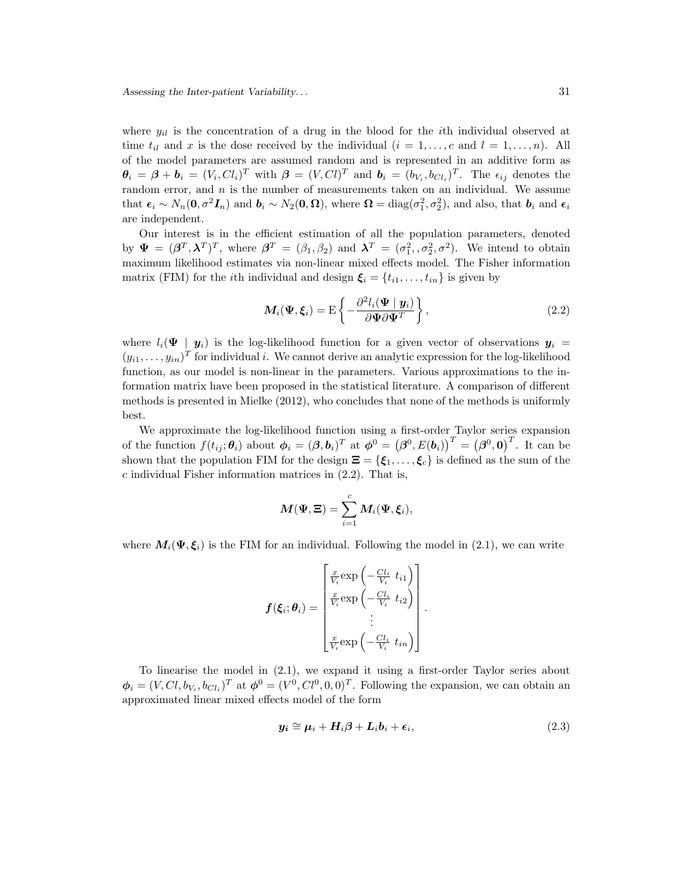where  $y_{il}$  is the concentration of a drug in the blood for the *i*th individual observed at time  $t_{il}$  and x is the dose received by the individual  $(i = 1, \ldots, c$  and  $l = 1, \ldots, n$ ). All of the model parameters are assumed random and is represented in an additive form as  $\theta_i = \beta + b_i = (V_i, Cl_i)^T$  with  $\beta = (V, Cl)^T$  and  $b_i = (b_{V_i}, b_{Cl_i})^T$ . The  $\epsilon_{ij}$  denotes the random error, and  $n$  is the number of measurements taken on an individual. We assume that  $\epsilon_i \sim N_n(0, \sigma^2 I_n)$  and  $b_i \sim N_2(0, \Omega)$ , where  $\Omega = \text{diag}(\sigma_1^2, \sigma_2^2)$ , and also, that  $b_i$  and  $\epsilon_i$ are independent.

Our interest is in the efficient estimation of all the population parameters, denoted by  $\Psi = (\beta^T, \lambda^T)^T$ , where  $\beta^T = (\beta_1, \beta_2)$  and  $\lambda^T = (\sigma_1^2, \sigma_2^2, \sigma^2)$ . We intend to obtain maximum likelihood estimates via non-linear mixed effects model. The Fisher information matrix (FIM) for the *i*th individual and design  $\xi_i = \{t_{i1}, \ldots, t_{in}\}\$ is given by

$$
M_i(\Psi, \xi_i) = \mathcal{E}\left\{-\frac{\partial^2 l_i(\Psi \mid \mathbf{y}_i)}{\partial \Psi \partial \Psi^T}\right\},\tag{2.2}
$$

where  $l_i(\Psi | y_i)$  is the log-likelihood function for a given vector of observations  $y_i =$  $(y_{i1}, \ldots, y_{in})^T$  for individual i. We cannot derive an analytic expression for the log-likelihood function, as our model is non-linear in the parameters. Various approximations to the information matrix have been proposed in the statistical literature. A comparison of different methods is presented in Mielke (2012), who concludes that none of the methods is uniformly best.

We approximate the log-likelihood function using a first-order Taylor series expansion of the function  $f(t_{ij}; \theta_i)$  about  $\phi_i = (\beta, b_i)^T$  at  $\phi^0 = (\beta^0, E(b_i))^T = (\beta^0, 0)^T$ . It can be shown that the population FIM for the design  $\Xi = {\xi_1, \ldots, \xi_c}$  is defined as the sum of the  $c$  individual Fisher information matrices in  $(2.2)$ . That is,

$$
\boldsymbol{M}(\boldsymbol{\Psi},\boldsymbol{\Xi})=\sum_{i=1}^c \boldsymbol{M}_i(\boldsymbol{\Psi},\boldsymbol{\xi}_i),
$$

where  $M_i(\Psi, \xi_i)$  is the FIM for an individual. Following the model in (2.1), we can write

$$
\boldsymbol{f}(\boldsymbol{\xi}_i;\boldsymbol{\theta}_i) = \begin{bmatrix} \frac{x}{V_i} \exp\left(-\frac{Cl_i}{V_i} t_{i1}\right) \\ \frac{x}{V_i} \exp\left(-\frac{Cl_i}{V_i} t_{i2}\right) \\ \vdots \\ \frac{x}{V_i} \exp\left(-\frac{Cl_i}{V_i} t_{in}\right) \end{bmatrix}.
$$

To linearise the model in (2.1), we expand it using a first-order Taylor series about  $\phi_i = (V, Cl, b_{V_i}, b_{Cl_i})^T$  at  $\phi^0 = (V^0, Cl^0, 0, 0)^T$ . Following the expansion, we can obtain an approximated linear mixed effects model of the form

$$
\mathbf{y_i} \cong \mathbf{\mu}_i + \mathbf{H}_i \boldsymbol{\beta} + \mathbf{L}_i \mathbf{b}_i + \boldsymbol{\epsilon}_i, \tag{2.3}
$$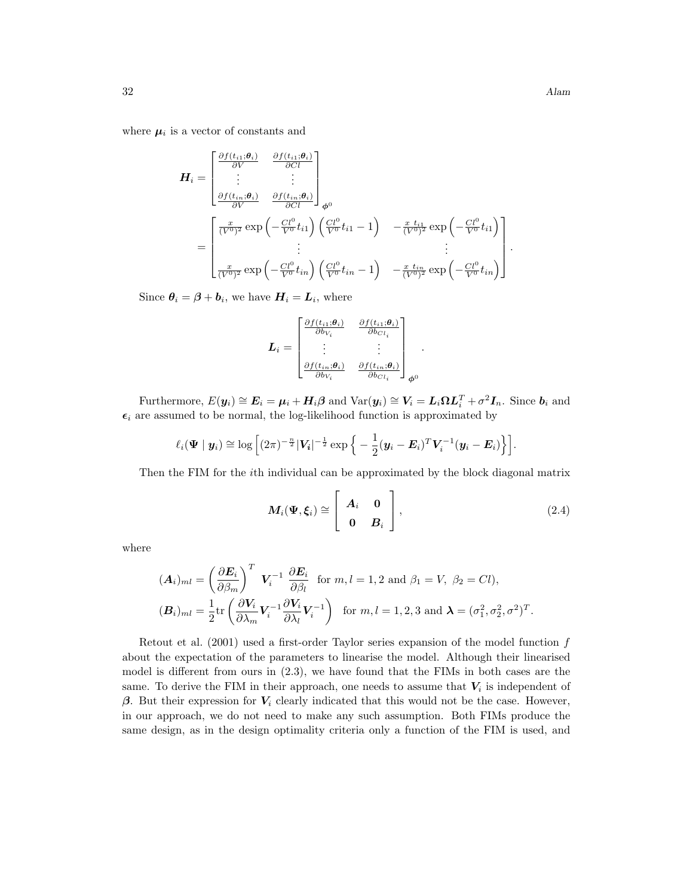where  $\mu_i$  is a vector of constants and

$$
\mathbf{H}_{i} = \begin{bmatrix} \frac{\partial f(t_{i1}; \theta_{i})}{\partial V} & \frac{\partial f(t_{i1}; \theta_{i})}{\partial Cl} \\ \vdots & \vdots \\ \frac{\partial f(t_{in}, \theta_{i})}{\partial V} & \frac{\partial f(t_{in}, \theta_{i})}{\partial Cl} \end{bmatrix}_{\phi^{0}}
$$
\n
$$
= \begin{bmatrix} \frac{x}{(V^{0})^{2}} \exp\left(-\frac{Cl^{0}}{V^{0}}t_{i1}\right)\left(\frac{Cl^{0}}{V^{0}}t_{i1} - 1\right) & -\frac{x}{(V^{0})^{2}} \exp\left(-\frac{Cl^{0}}{V^{0}}t_{i1}\right) \\ \vdots & \vdots \\ \frac{x}{(V^{0})^{2}} \exp\left(-\frac{Cl^{0}}{V^{0}}t_{in}\right)\left(\frac{Cl^{0}}{V^{0}}t_{in} - 1\right) & -\frac{x}{(V^{0})^{2}} \exp\left(-\frac{Cl^{0}}{V^{0}}t_{in}\right) \end{bmatrix}.
$$

Since  $\boldsymbol{\theta}_i = \boldsymbol{\beta} + \boldsymbol{b}_i$ , we have  $\boldsymbol{H}_i = \boldsymbol{L}_i$ , where

$$
\boldsymbol{L}_{i} = \begin{bmatrix} \frac{\partial f(t_{i1}; \boldsymbol{\theta}_{i})}{\partial b_{V_{i}}} & \frac{\partial f(t_{i1}; \boldsymbol{\theta}_{i})}{\partial b_{Cl_{i}}} \\ \vdots & \vdots \\ \frac{\partial f(t_{in}; \boldsymbol{\theta}_{i})}{\partial b_{V_{i}}} & \frac{\partial f(t_{in}; \boldsymbol{\theta}_{i})}{\partial b_{Cl_{i}}} \end{bmatrix}_{\boldsymbol{\phi}^{0}}
$$

Furthermore,  $E(\mathbf{y}_i) \cong E_i = \mu_i + \mathbf{H}_i \boldsymbol{\beta}$  and  $Var(\mathbf{y}_i) \cong V_i = L_i \Omega L_i^T + \sigma^2 \mathbf{I}_n$ . Since  $\mathbf{b}_i$  and  $\epsilon_i$  are assumed to be normal, the log-likelihood function is approximated by

$$
\ell_i(\boldsymbol{\Psi} \mid \boldsymbol{y}_i) \cong \log \left[ (2\pi)^{-\frac{n}{2}} |\boldsymbol{V_i}|^{-\frac{1}{2}} \exp \left\{ -\frac{1}{2} (\boldsymbol{y}_i - \boldsymbol{E}_i)^T \boldsymbol{V}_i^{-1} (\boldsymbol{y}_i - \boldsymbol{E}_i) \right\} \right].
$$

Then the FIM for the ith individual can be approximated by the block diagonal matrix

$$
M_i(\Psi, \xi_i) \cong \left[ \begin{array}{cc} A_i & 0 \\ 0 & B_i \end{array} \right],\tag{2.4}
$$

.

where

$$
(\mathbf{A}_i)_{ml} = \left(\frac{\partial \mathbf{E}_i}{\partial \beta_m}\right)^T \mathbf{V}_i^{-1} \frac{\partial \mathbf{E}_i}{\partial \beta_l} \text{ for } m, l = 1, 2 \text{ and } \beta_1 = V, \ \beta_2 = Cl),
$$
  
\n
$$
(\mathbf{B}_i)_{ml} = \frac{1}{2} \text{tr} \left(\frac{\partial \mathbf{V}_i}{\partial \lambda_m} \mathbf{V}_i^{-1} \frac{\partial \mathbf{V}_i}{\partial \lambda_l} \mathbf{V}_i^{-1}\right) \text{ for } m, l = 1, 2, 3 \text{ and } \boldsymbol{\lambda} = (\sigma_1^2, \sigma_2^2, \sigma^2)^T.
$$

Retout et al. (2001) used a first-order Taylor series expansion of the model function f about the expectation of the parameters to linearise the model. Although their linearised model is different from ours in (2.3), we have found that the FIMs in both cases are the same. To derive the FIM in their approach, one needs to assume that  $V_i$  is independent of β. But their expression for  $V_i$  clearly indicated that this would not be the case. However, in our approach, we do not need to make any such assumption. Both FIMs produce the same design, as in the design optimality criteria only a function of the FIM is used, and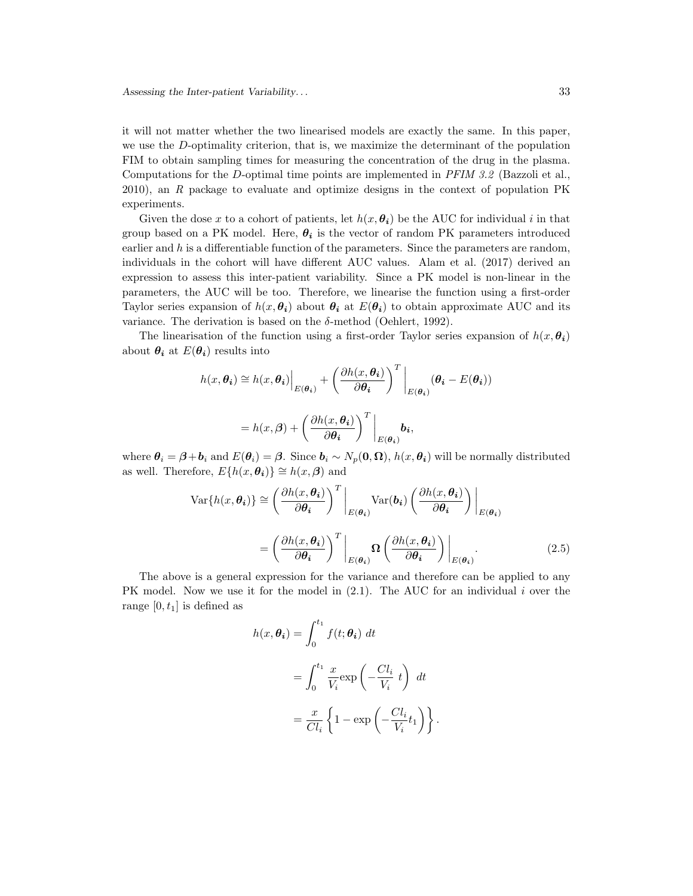it will not matter whether the two linearised models are exactly the same. In this paper, we use the D-optimality criterion, that is, we maximize the determinant of the population FIM to obtain sampling times for measuring the concentration of the drug in the plasma. Computations for the D-optimal time points are implemented in PFIM 3.2 (Bazzoli et al., 2010), an R package to evaluate and optimize designs in the context of population PK experiments.

Given the dose x to a cohort of patients, let  $h(x, \theta_i)$  be the AUC for individual i in that group based on a PK model. Here,  $\theta_i$  is the vector of random PK parameters introduced earlier and h is a differentiable function of the parameters. Since the parameters are random, individuals in the cohort will have different AUC values. Alam et al. (2017) derived an expression to assess this inter-patient variability. Since a PK model is non-linear in the parameters, the AUC will be too. Therefore, we linearise the function using a first-order Taylor series expansion of  $h(x, \theta_i)$  about  $\theta_i$  at  $E(\theta_i)$  to obtain approximate AUC and its variance. The derivation is based on the  $\delta$ -method (Oehlert, 1992).

The linearisation of the function using a first-order Taylor series expansion of  $h(x, \theta_i)$ about  $\theta_i$  at  $E(\theta_i)$  results into

$$
h(x, \theta_i) \cong h(x, \theta_i) \Big|_{E(\theta_i)} + \left(\frac{\partial h(x, \theta_i)}{\partial \theta_i}\right)^T \Big|_{E(\theta_i)} (\theta_i - E(\theta_i))
$$

$$
= h(x, \beta) + \left(\frac{\partial h(x, \theta_i)}{\partial \theta_i}\right)^T \Big|_{E(\theta_i)} b_i,
$$

where  $\theta_i = \beta + b_i$  and  $E(\theta_i) = \beta$ . Since  $b_i \sim N_p(0, \Omega)$ ,  $h(x, \theta_i)$  will be normally distributed as well. Therefore,  $E\{h(x, \theta_i)\} \cong h(x, \beta)$  and

$$
\operatorname{Var}\{h(x,\theta_{i})\} \cong \left(\frac{\partial h(x,\theta_{i})}{\partial \theta_{i}}\right)^{T} \Big|_{E(\theta_{i})} \operatorname{Var}(b_{i}) \left(\frac{\partial h(x,\theta_{i})}{\partial \theta_{i}}\right) \Big|_{E(\theta_{i})}
$$

$$
= \left(\frac{\partial h(x,\theta_{i})}{\partial \theta_{i}}\right)^{T} \Big|_{E(\theta_{i})} \Omega \left(\frac{\partial h(x,\theta_{i})}{\partial \theta_{i}}\right) \Big|_{E(\theta_{i})} . \tag{2.5}
$$

The above is a general expression for the variance and therefore can be applied to any PK model. Now we use it for the model in  $(2.1)$ . The AUC for an individual i over the range  $[0, t_1]$  is defined as

$$
h(x, \theta_i) = \int_0^{t_1} f(t; \theta_i) dt
$$
  
= 
$$
\int_0^{t_1} \frac{x}{V_i} \exp\left(-\frac{Cl_i}{V_i} t\right) dt
$$
  
= 
$$
\frac{x}{Cl_i} \left\{ 1 - \exp\left(-\frac{Cl_i}{V_i} t_1\right) \right\}.
$$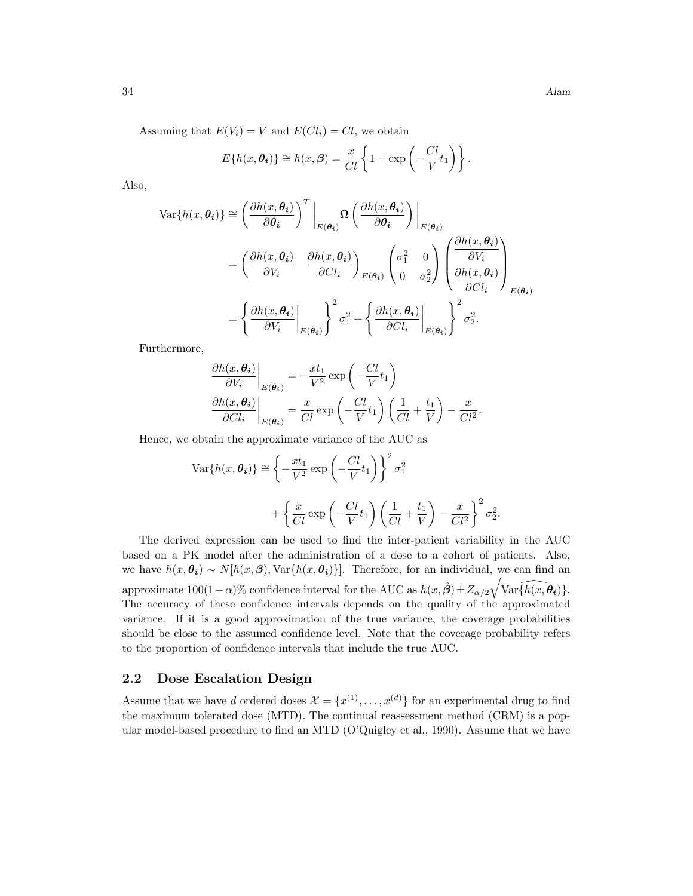Assuming that  $E(V_i) = V$  and  $E(Cl_i) = Cl$ , we obtain

$$
E\{h(x, \theta_i)\} \cong h(x, \beta) = \frac{x}{Cl} \left\{1 - \exp\left(-\frac{Cl}{V}t_1\right)\right\}.
$$

Also,

$$
\begin{split} \text{Var}\{h(x,\theta_{i})\} &\cong \left(\frac{\partial h(x,\theta_{i})}{\partial \theta_{i}}\right)^{T} \bigg|_{E(\theta_{i})} \Omega\left(\frac{\partial h(x,\theta_{i})}{\partial \theta_{i}}\right) \bigg|_{E(\theta_{i})} \\ &= \left(\frac{\partial h(x,\theta_{i})}{\partial V_{i}} \quad \frac{\partial h(x,\theta_{i})}{\partial C l_{i}}\right)_{E(\theta_{i})} \left(\begin{matrix} \sigma_{1}^{2} & 0 \\ 0 & \sigma_{2}^{2} \end{matrix}\right) \left(\begin{matrix} \frac{\partial h(x,\theta_{i})}{\partial V_{i}} \\ \frac{\partial h(x,\theta_{i})}{\partial C l_{i}} \end{matrix}\right)_{E(\theta_{i})} \\ &= \left\{\frac{\partial h(x,\theta_{i})}{\partial V_{i}} \bigg|_{E(\theta_{i})}\right\}^{2} \sigma_{1}^{2} + \left\{\frac{\partial h(x,\theta_{i})}{\partial C l_{i}} \bigg|_{E(\theta_{i})}\right\}^{2} \sigma_{2}^{2} .\end{split}
$$

Furthermore,

$$
\frac{\partial h(x, \theta_i)}{\partial V_i}\Big|_{E(\theta_i)} = -\frac{xt_1}{V^2} \exp\left(-\frac{Cl}{V}t_1\right)
$$

$$
\frac{\partial h(x, \theta_i)}{\partial Cl_i}\Big|_{E(\theta_i)} = \frac{x}{Cl} \exp\left(-\frac{Cl}{V}t_1\right) \left(\frac{1}{Cl} + \frac{t_1}{V}\right) - \frac{x}{Cl^2}.
$$

Hence, we obtain the approximate variance of the AUC as

$$
\operatorname{Var}\{h(x,\theta_i)\} \cong \left\{ -\frac{xt_1}{V^2} \exp\left(-\frac{Cl}{V}t_1\right) \right\}^2 \sigma_1^2 + \left\{ \frac{x}{Cl} \exp\left(-\frac{Cl}{V}t_1\right) \left(\frac{1}{Cl} + \frac{t_1}{V}\right) - \frac{x}{Cl^2} \right\}^2 \sigma_2^2.
$$

The derived expression can be used to find the inter-patient variability in the AUC based on a PK model after the administration of a dose to a cohort of patients. Also, we have  $h(x, \theta_i) \sim N[h(x, \beta), \text{Var}\{h(x, \theta_i)\}].$  Therefore, for an individual, we can find an approximate  $100(1-\alpha)$ % confidence interval for the AUC as  $h(x, \hat{\beta}) \pm Z_{\alpha/2} \sqrt{\text{Var}\{h(x, \theta_i)\}}$ . The accuracy of these confidence intervals depends on the quality of the approximated variance. If it is a good approximation of the true variance, the coverage probabilities should be close to the assumed confidence level. Note that the coverage probability refers to the proportion of confidence intervals that include the true AUC.

#### 2.2 Dose Escalation Design

Assume that we have d ordered doses  $\mathcal{X} = \{x^{(1)}, \ldots, x^{(d)}\}$  for an experimental drug to find the maximum tolerated dose (MTD). The continual reassessment method (CRM) is a popular model-based procedure to find an MTD (O'Quigley et al., 1990). Assume that we have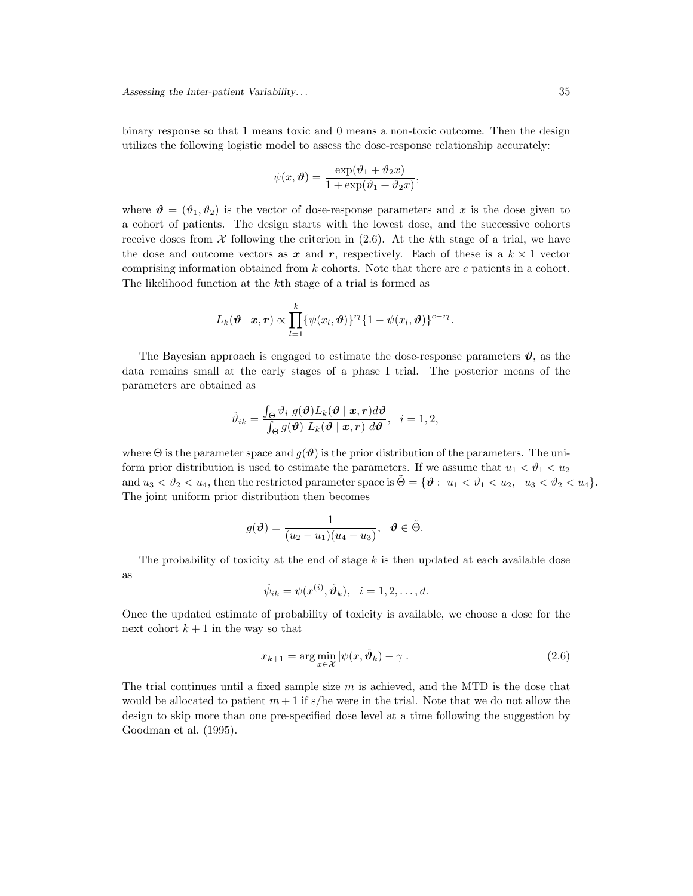binary response so that 1 means toxic and 0 means a non-toxic outcome. Then the design utilizes the following logistic model to assess the dose-response relationship accurately:

$$
\psi(x,\boldsymbol{\vartheta}) = \frac{\exp(\vartheta_1 + \vartheta_2 x)}{1 + \exp(\vartheta_1 + \vartheta_2 x)},
$$

where  $\mathbf{\vartheta} = (\vartheta_1, \vartheta_2)$  is the vector of dose-response parameters and x is the dose given to a cohort of patients. The design starts with the lowest dose, and the successive cohorts receive doses from  $X$  following the criterion in  $(2.6)$ . At the kth stage of a trial, we have the dose and outcome vectors as x and r, respectively. Each of these is a  $k \times 1$  vector comprising information obtained from  $k$  cohorts. Note that there are  $c$  patients in a cohort. The likelihood function at the kth stage of a trial is formed as

$$
L_k(\boldsymbol{\vartheta} \mid \boldsymbol{x}, \boldsymbol{r}) \propto \prod_{l=1}^k \{ \psi(x_l, \boldsymbol{\vartheta}) \}^{r_l} \{ 1 - \psi(x_l, \boldsymbol{\vartheta}) \}^{c-r_l}.
$$

The Bayesian approach is engaged to estimate the dose-response parameters  $\vartheta$ , as the data remains small at the early stages of a phase I trial. The posterior means of the parameters are obtained as

$$
\hat{\vartheta}_{ik} = \frac{\int_{\Theta} \vartheta_i \ g(\boldsymbol{\vartheta}) L_k(\boldsymbol{\vartheta} \mid \boldsymbol{x}, \boldsymbol{r}) d\boldsymbol{\vartheta}}{\int_{\Theta} g(\boldsymbol{\vartheta}) L_k(\boldsymbol{\vartheta} \mid \boldsymbol{x}, \boldsymbol{r}) d\boldsymbol{\vartheta}}, \quad i = 1, 2,
$$

where  $\Theta$  is the parameter space and  $g(\boldsymbol{\vartheta})$  is the prior distribution of the parameters. The uniform prior distribution is used to estimate the parameters. If we assume that  $u_1 < v_1 < u_2$ and  $u_3 < \vartheta_2 < u_4$ , then the restricted parameter space is  $\Theta = \{\mathbf{\vartheta}: u_1 < \vartheta_1 < u_2, u_3 < \vartheta_2 < u_4\}.$ The joint uniform prior distribution then becomes

$$
g(\boldsymbol{\vartheta})=\frac{1}{(u_2-u_1)(u_4-u_3)},\ \ \boldsymbol{\vartheta}\in\tilde{\Theta}.
$$

The probability of toxicity at the end of stage  $k$  is then updated at each available dose as

$$
\hat{\psi}_{ik} = \psi(x^{(i)}, \hat{\boldsymbol{\vartheta}}_k), \quad i = 1, 2, \dots, d.
$$

Once the updated estimate of probability of toxicity is available, we choose a dose for the next cohort  $k+1$  in the way so that

$$
x_{k+1} = \arg\min_{x \in \mathcal{X}} |\psi(x, \hat{\theta}_k) - \gamma|.
$$
 (2.6)

The trial continues until a fixed sample size  $m$  is achieved, and the MTD is the dose that would be allocated to patient  $m+1$  if s/he were in the trial. Note that we do not allow the design to skip more than one pre-specified dose level at a time following the suggestion by Goodman et al. (1995).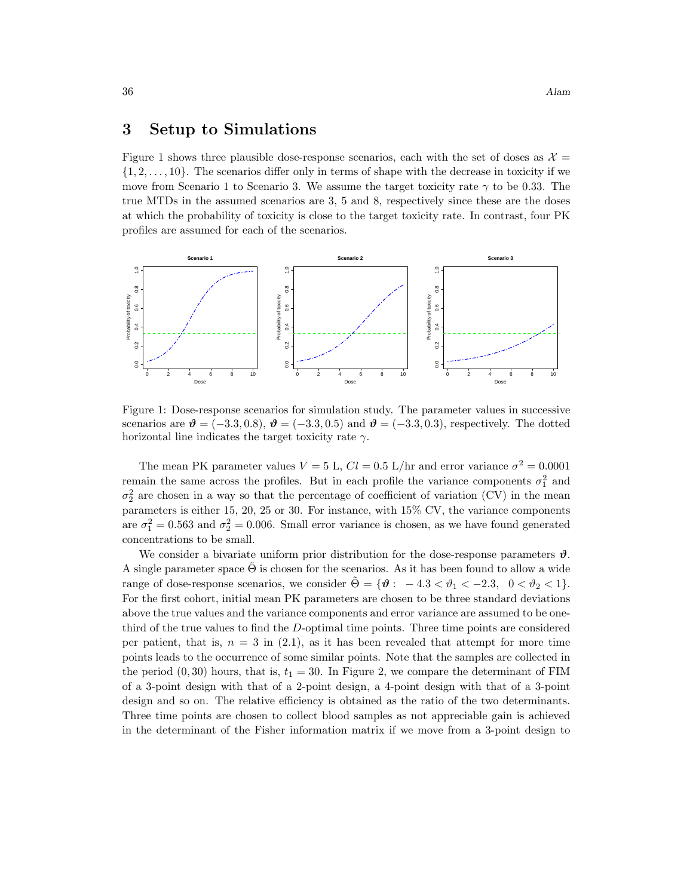### 3 Setup to Simulations

Figure 1 shows three plausible dose-response scenarios, each with the set of doses as  $\mathcal{X} =$  $\{1, 2, \ldots, 10\}$ . The scenarios differ only in terms of shape with the decrease in toxicity if we move from Scenario 1 to Scenario 3. We assume the target toxicity rate  $\gamma$  to be 0.33. The true MTDs in the assumed scenarios are 3, 5 and 8, respectively since these are the doses at which the probability of toxicity is close to the target toxicity rate. In contrast, four PK profiles are assumed for each of the scenarios.



Figure 1: Dose-response scenarios for simulation study. The parameter values in successive scenarios are  $\mathbf{\hat{v}} = (-3.3, 0.8), \mathbf{\hat{v}} = (-3.3, 0.5)$  and  $\mathbf{\hat{v}} = (-3.3, 0.3)$ , respectively. The dotted horizontal line indicates the target toxicity rate  $\gamma$ .

The mean PK parameter values  $V = 5$  L,  $Cl = 0.5$  L/hr and error variance  $\sigma^2 = 0.0001$ remain the same across the profiles. But in each profile the variance components  $\sigma_1^2$  and  $\sigma_2^2$  are chosen in a way so that the percentage of coefficient of variation (CV) in the mean parameters is either 15, 20, 25 or 30. For instance, with 15% CV, the variance components are  $\sigma_1^2 = 0.563$  and  $\sigma_2^2 = 0.006$ . Small error variance is chosen, as we have found generated concentrations to be small.

We consider a bivariate uniform prior distribution for the dose-response parameters  $\vartheta$ . A single parameter space  $\Theta$  is chosen for the scenarios. As it has been found to allow a wide range of dose-response scenarios, we consider  $\Theta = {\phi : -4.3 < \theta_1 < -2.3, 0 < \theta_2 < 1}.$ For the first cohort, initial mean PK parameters are chosen to be three standard deviations above the true values and the variance components and error variance are assumed to be onethird of the true values to find the D-optimal time points. Three time points are considered per patient, that is,  $n = 3$  in (2.1), as it has been revealed that attempt for more time points leads to the occurrence of some similar points. Note that the samples are collected in the period  $(0, 30)$  hours, that is,  $t_1 = 30$ . In Figure 2, we compare the determinant of FIM of a 3-point design with that of a 2-point design, a 4-point design with that of a 3-point design and so on. The relative efficiency is obtained as the ratio of the two determinants. Three time points are chosen to collect blood samples as not appreciable gain is achieved in the determinant of the Fisher information matrix if we move from a 3-point design to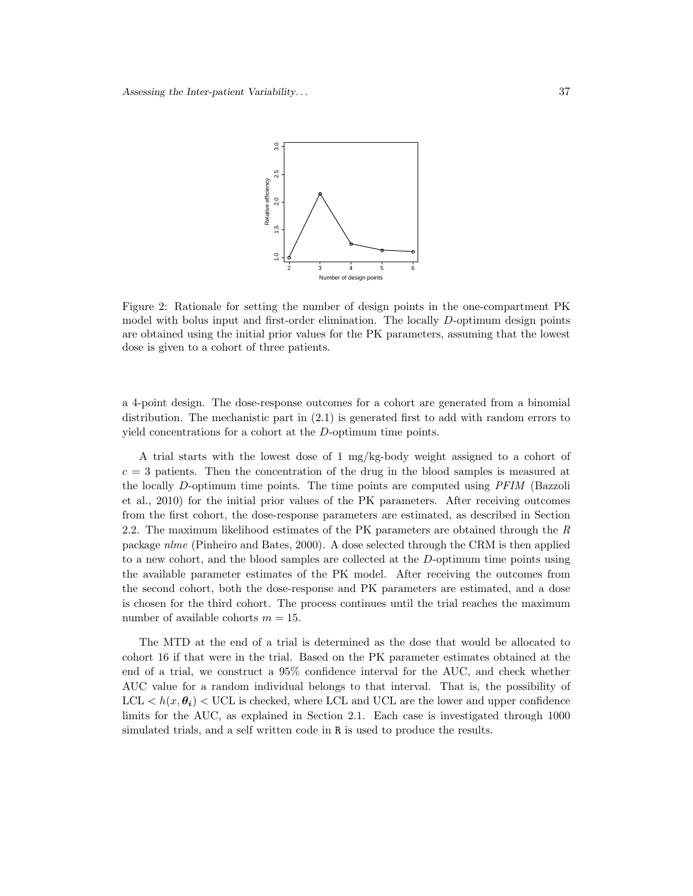

Figure 2: Rationale for setting the number of design points in the one-compartment PK model with bolus input and first-order elimination. The locally D-optimum design points are obtained using the initial prior values for the PK parameters, assuming that the lowest dose is given to a cohort of three patients.

a 4-point design. The dose-response outcomes for a cohort are generated from a binomial distribution. The mechanistic part in (2.1) is generated first to add with random errors to yield concentrations for a cohort at the D-optimum time points.

A trial starts with the lowest dose of 1 mg/kg-body weight assigned to a cohort of  $c = 3$  patients. Then the concentration of the drug in the blood samples is measured at the locally D-optimum time points. The time points are computed using PFIM (Bazzoli et al., 2010) for the initial prior values of the PK parameters. After receiving outcomes from the first cohort, the dose-response parameters are estimated, as described in Section 2.2. The maximum likelihood estimates of the PK parameters are obtained through the R package nlme (Pinheiro and Bates, 2000). A dose selected through the CRM is then applied to a new cohort, and the blood samples are collected at the D-optimum time points using the available parameter estimates of the PK model. After receiving the outcomes from the second cohort, both the dose-response and PK parameters are estimated, and a dose is chosen for the third cohort. The process continues until the trial reaches the maximum number of available cohorts  $m = 15$ .

The MTD at the end of a trial is determined as the dose that would be allocated to cohort 16 if that were in the trial. Based on the PK parameter estimates obtained at the end of a trial, we construct a 95% confidence interval for the AUC, and check whether AUC value for a random individual belongs to that interval. That is, the possibility of  $LCL < h(x, \theta_i)$  < UCL is checked, where LCL and UCL are the lower and upper confidence limits for the AUC, as explained in Section 2.1. Each case is investigated through 1000 simulated trials, and a self written code in R is used to produce the results.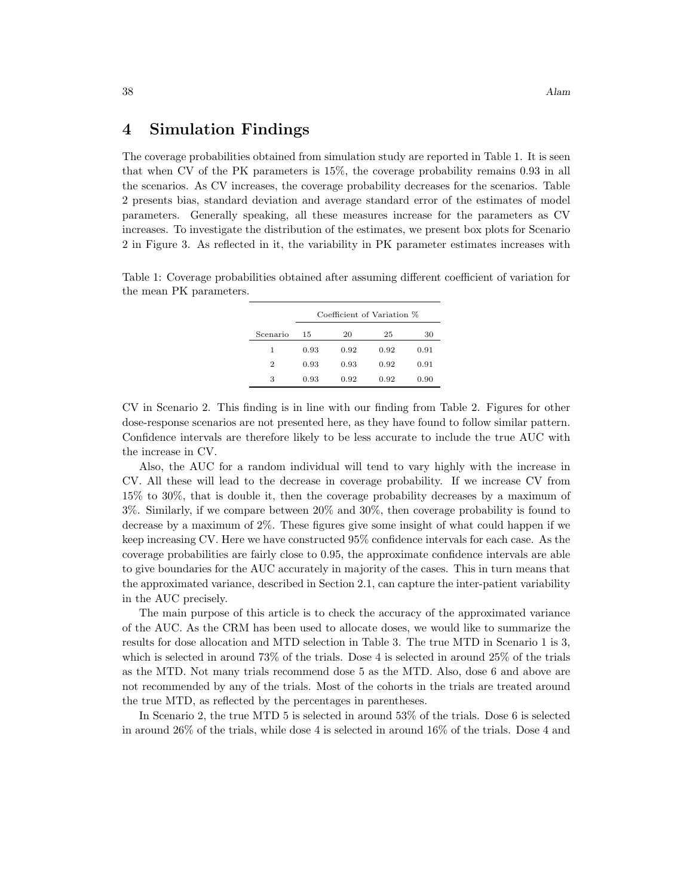### 4 Simulation Findings

The coverage probabilities obtained from simulation study are reported in Table 1. It is seen that when CV of the PK parameters is 15%, the coverage probability remains 0.93 in all the scenarios. As CV increases, the coverage probability decreases for the scenarios. Table 2 presents bias, standard deviation and average standard error of the estimates of model parameters. Generally speaking, all these measures increase for the parameters as CV increases. To investigate the distribution of the estimates, we present box plots for Scenario 2 in Figure 3. As reflected in it, the variability in PK parameter estimates increases with

Table 1: Coverage probabilities obtained after assuming different coefficient of variation for the mean PK parameters.

|          | Coefficient of Variation % |      |      |      |
|----------|----------------------------|------|------|------|
| Scenario | 15                         | 20   | 25   | 30   |
| 1        | 0.93                       | 0.92 | 0.92 | 0.91 |
| 2        | 0.93                       | 0.93 | 0.92 | 0.91 |
| З        | 0.93                       | 0.92 | 0.92 | 0.90 |

CV in Scenario 2. This finding is in line with our finding from Table 2. Figures for other dose-response scenarios are not presented here, as they have found to follow similar pattern. Confidence intervals are therefore likely to be less accurate to include the true AUC with the increase in CV.

Also, the AUC for a random individual will tend to vary highly with the increase in CV. All these will lead to the decrease in coverage probability. If we increase CV from 15% to 30%, that is double it, then the coverage probability decreases by a maximum of 3%. Similarly, if we compare between 20% and 30%, then coverage probability is found to decrease by a maximum of 2%. These figures give some insight of what could happen if we keep increasing CV. Here we have constructed 95% confidence intervals for each case. As the coverage probabilities are fairly close to 0.95, the approximate confidence intervals are able to give boundaries for the AUC accurately in majority of the cases. This in turn means that the approximated variance, described in Section 2.1, can capture the inter-patient variability in the AUC precisely.

The main purpose of this article is to check the accuracy of the approximated variance of the AUC. As the CRM has been used to allocate doses, we would like to summarize the results for dose allocation and MTD selection in Table 3. The true MTD in Scenario 1 is 3, which is selected in around 73% of the trials. Dose 4 is selected in around 25% of the trials as the MTD. Not many trials recommend dose 5 as the MTD. Also, dose 6 and above are not recommended by any of the trials. Most of the cohorts in the trials are treated around the true MTD, as reflected by the percentages in parentheses.

In Scenario 2, the true MTD 5 is selected in around 53% of the trials. Dose 6 is selected in around 26% of the trials, while dose 4 is selected in around 16% of the trials. Dose 4 and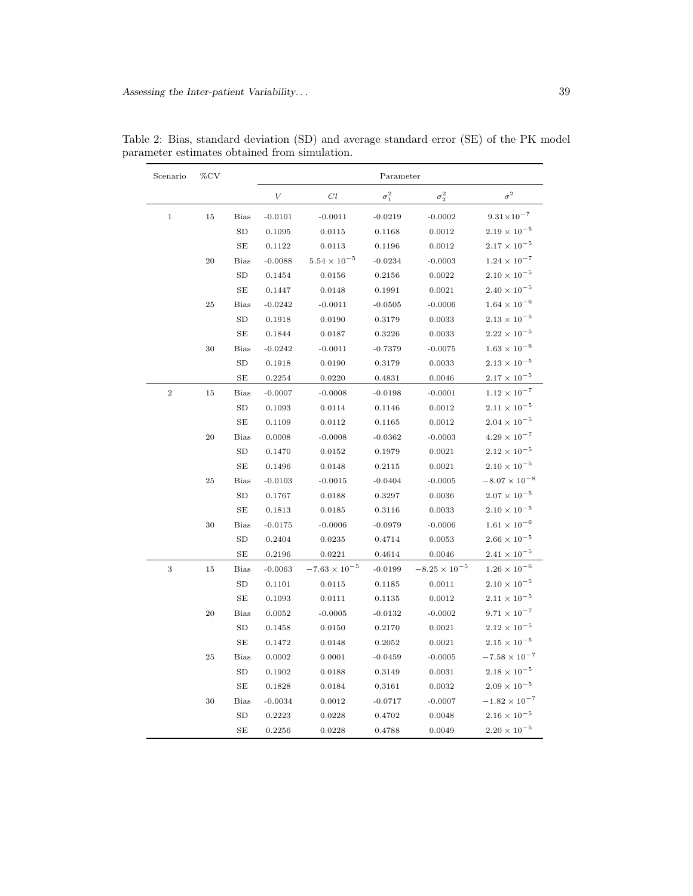| Scenario       | $\%{\rm CV}$ |             | Parameter |                        |              |                        |                        |
|----------------|--------------|-------------|-----------|------------------------|--------------|------------------------|------------------------|
|                |              |             | V         | Cl                     | $\sigma_1^2$ | $\sigma_2^2$           | $\sigma^2$             |
| $\mathbf{1}$   | 15           | <b>Bias</b> | $-0.0101$ | $-0.0011$              | $-0.0219$    | $-0.0002$              | $9.31 \times 10^{-7}$  |
|                |              | SD          | 0.1095    | 0.0115                 | 0.1168       | 0.0012                 | $2.19 \times 10^{-5}$  |
|                |              | SE          | 0.1122    | 0.0113                 | 0.1196       | 0.0012                 | $2.17\times10^{-5}$    |
|                | 20           | <b>Bias</b> | $-0.0088$ | $5.54 \times 10^{-5}$  | $-0.0234$    | $-0.0003$              | $1.24 \times 10^{-7}$  |
|                |              | SD          | 0.1454    | 0.0156                 | 0.2156       | 0.0022                 | $2.10 \times 10^{-5}$  |
|                |              | SE          | 0.1447    | 0.0148                 | 0.1991       | 0.0021                 | $2.40\times10^{-5}$    |
|                | 25           | <b>Bias</b> | $-0.0242$ | $-0.0011$              | $-0.0505$    | $-0.0006$              | $1.64 \times 10^{-6}$  |
|                |              | SD          | 0.1918    | 0.0190                 | 0.3179       | 0.0033                 | $2.13\times10^{-5}$    |
|                |              | SE          | 0.1844    | 0.0187                 | 0.3226       | 0.0033                 | $2.22\times10^{-5}$    |
|                | 30           | <b>Bias</b> | $-0.0242$ | $-0.0011$              | $-0.7379$    | $-0.0075$              | $1.63 \times 10^{-6}$  |
|                |              | SD          | 0.1918    | 0.0190                 | 0.3179       | 0.0033                 | $2.13 \times 10^{-5}$  |
|                |              | SE          | 0.2254    | 0.0220                 | 0.4831       | 0.0046                 | $2.17 \times 10^{-5}$  |
| $\overline{2}$ | 15           | <b>Bias</b> | $-0.0007$ | $-0.0008$              | $-0.0198$    | $-0.0001$              | $1.12 \times 10^{-7}$  |
|                |              | SD          | 0.1093    | 0.0114                 | 0.1146       | 0.0012                 | $2.11 \times 10^{-5}$  |
|                |              | SE          | 0.1109    | 0.0112                 | 0.1165       | 0.0012                 | $2.04\times10^{-5}$    |
|                | 20           | <b>Bias</b> | 0.0008    | $-0.0008$              | $-0.0362$    | $-0.0003$              | $4.29 \times 10^{-7}$  |
|                |              | SD          | 0.1470    | 0.0152                 | 0.1979       | 0.0021                 | $2.12 \times 10^{-5}$  |
|                |              | SE          | 0.1496    | 0.0148                 | 0.2115       | 0.0021                 | $2.10 \times 10^{-5}$  |
|                | 25           | <b>Bias</b> | $-0.0103$ | $-0.0015$              | $-0.0404$    | $-0.0005$              | $-8.07 \times 10^{-8}$ |
|                |              | SD          | 0.1767    | 0.0188                 | 0.3297       | 0.0036                 | $2.07 \times 10^{-5}$  |
|                |              | SE          | 0.1813    | 0.0185                 | 0.3116       | 0.0033                 | $2.10 \times 10^{-5}$  |
|                | 30           | <b>Bias</b> | $-0.0175$ | $-0.0006$              | $-0.0979$    | $-0.0006$              | $1.61 \times 10^{-6}$  |
|                |              | SD          | 0.2404    | 0.0235                 | 0.4714       | 0.0053                 | $2.66 \times 10^{-5}$  |
|                |              | SE          | 0.2196    | 0.0221                 | 0.4614       | 0.0046                 | $2.41 \times 10^{-5}$  |
| 3              | 15           | <b>Bias</b> | $-0.0063$ | $-7.63 \times 10^{-5}$ | $-0.0199$    | $-8.25 \times 10^{-5}$ | $1.26 \times 10^{-6}$  |
|                |              | SD          | 0.1101    | 0.0115                 | 0.1185       | 0.0011                 | $2.10 \times 10^{-5}$  |
|                |              | $\rm SE$    | 0.1093    | 0.0111                 | 0.1135       | 0.0012                 | $2.11 \times 10^{-5}$  |
|                | $20\,$       | <b>Bias</b> | 0.0052    | $-0.0005$              | $-0.0132$    | $-0.0002$              | $9.71 \times 10^{-7}$  |
|                |              | SD          | 0.1458    | 0.0150                 | 0.2170       | 0.0021                 | $2.12 \times 10^{-5}$  |
|                |              | SE          | 0.1472    | 0.0148                 | 0.2052       | 0.0021                 | $2.15 \times 10^{-5}$  |
|                | 25           | <b>Bias</b> | 0.0002    | 0.0001                 | $-0.0459$    | $-0.0005$              | $-7.58 \times 10^{-7}$ |
|                |              | SD          | 0.1902    | 0.0188                 | 0.3149       | 0.0031                 | $2.18 \times 10^{-5}$  |
|                |              | SE          | 0.1828    | 0.0184                 | 0.3161       | 0.0032                 | $2.09 \times 10^{-5}$  |
|                | 30           | <b>Bias</b> | $-0.0034$ | 0.0012                 | $-0.0717$    | $-0.0007$              | $-1.82 \times 10^{-7}$ |
|                |              | SD          | 0.2223    | 0.0228                 | 0.4702       | 0.0048                 | $2.16\times10^{-5}$    |
|                |              | SE          | 0.2256    | 0.0228                 | 0.4788       | 0.0049                 | $2.20 \times 10^{-5}$  |

Table 2: Bias, standard deviation (SD) and average standard error (SE) of the PK model parameter estimates obtained from simulation.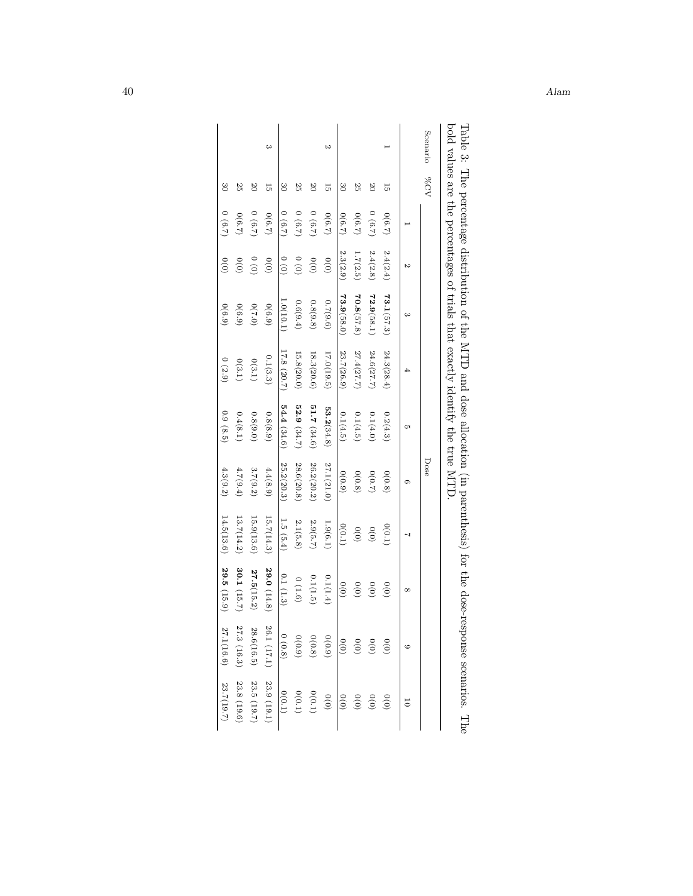| Scenario | $\sqrt{20N}$                |           |            |            |            |               | Dose         |            |             |                       |               |
|----------|-----------------------------|-----------|------------|------------|------------|---------------|--------------|------------|-------------|-----------------------|---------------|
|          |                             |           | Z          | $\infty$   |            | Cπ            | c            |            | $^{\circ}$  |                       |               |
|          | 늕                           | (6.7)     | 2.4(2.4)   | 73.1(57.3) | 24.3(28.4) | 0.2(4.3)      | 0(0.8)       | (0.1)      | 0(0)        | (0)                   | $\frac{0}{0}$ |
|          | $\overline{20}$             | (6.7)     | $2.4(2.8)$ | 72.9(58.1) | 24.6(27.7) | 0.1(4.0)      | (0.7)        | (0)0       | (0)0        | (0)0                  | (0)0          |
|          | 25                          | (6.7)     | 1.7(2.5)   | 70.8(57.8) | 27.4(27.7) | 0.1(4.5)      | 0(0.8)       | (0)0       | (0)0        | (0)0                  | (0)0          |
|          | $\mathcal{S}^{\mathcal{O}}$ | (6.7)     | 2.3(2.9)   | 73.9(58.0) | 23.7(26.9) | 0.1(4.5)      | (6.0)        | 0(0.1)     | (0)0        | $\frac{1}{\sqrt{10}}$ | 0(0)          |
|          | 능                           | (6.7)     | (0)0       | (9.6)7.0   | 17.0(19.5) | 53.2(34.8)    | 27.1(21.0)   | 1.9(6.1)   | 0.1(1.4)    | (0.9)                 | 0(0)          |
|          | $\overline{0}$              | (6.7)     | 0(0)       | 0.8(9.8)   | 18.3(20.6) | 51.7(34.6)    | $26.2(20.2)$ | 2.9(5.7)   | 0.1(1.5)    | $0(0.8)$              | 0(0.1)        |
|          | 25                          | $0$ (6.7) | $(0)$ 0    | 0.6(9.4)   | 15.8(20.0) | 52.9 $(34.7)$ | 28.6(20.8)   | 2.1(5.8)   | $(9.1)$ $0$ | (0.9)                 | 0(0.1)        |
|          | 30                          | (6.7)     | (0)        | 1.0(10.1)  | 17.8(20.7) | 54.4(34.6)    | 25.2(20.3)   | 1.5 (5.4)  | 0.1(1.3)    | 0 (0.8)               | 0(0.1)        |
| ట        | 능                           | (6.7)     | (0)0       | (6.9)      | 0.1(3.3)   | 0.8(8.9)      | 4.4(8.9)     | 15.7(14.3) | 29.0 (14.8) | 26.1(17.1)            | 23.9(19.1)    |
|          | $\overline{0}$              | (6.7)     | (0)        | (0.70)     | 0(3.1)     | 0.8(9.0)      | 3.7(9.2)     | 15.9(13.6) | 27.5(15.2)  | 28.6(16.5)            | 23.5(19.7)    |
|          | 25                          | (6.7)     | (0)0       | (6.9)      | 0(3.1)     | 0.4(8.1)      | 4.7(9.4)     | 13.7(14.2) | 30.1 (15.7) | 27.3 (16.3)           | 23.8 (19.6)   |
|          | $\infty$                    | (6.7)     | $^{00}$    | (6.9)      | (2.9)      | 0.9(8.5)      | 4.3(9.2)     | 14.5(13.6) | 29.5 (15.9) | 27.1(16.6)            | 23.7(19.7)    |

| ora ratavo via stromeri posto via se estas de la crea de la construcción de la context. Via de la contexto de<br>bo nonco | $\mathbf{I}$<br>$\frac{1}{2}$<br>ŗ<br>;<br>; |
|---------------------------------------------------------------------------------------------------------------------------|----------------------------------------------|
|                                                                                                                           |                                              |
| $\vdots$                                                                                                                  | シー・ジャ キプン シンコン すつロブリ<br>l                    |
|                                                                                                                           |                                              |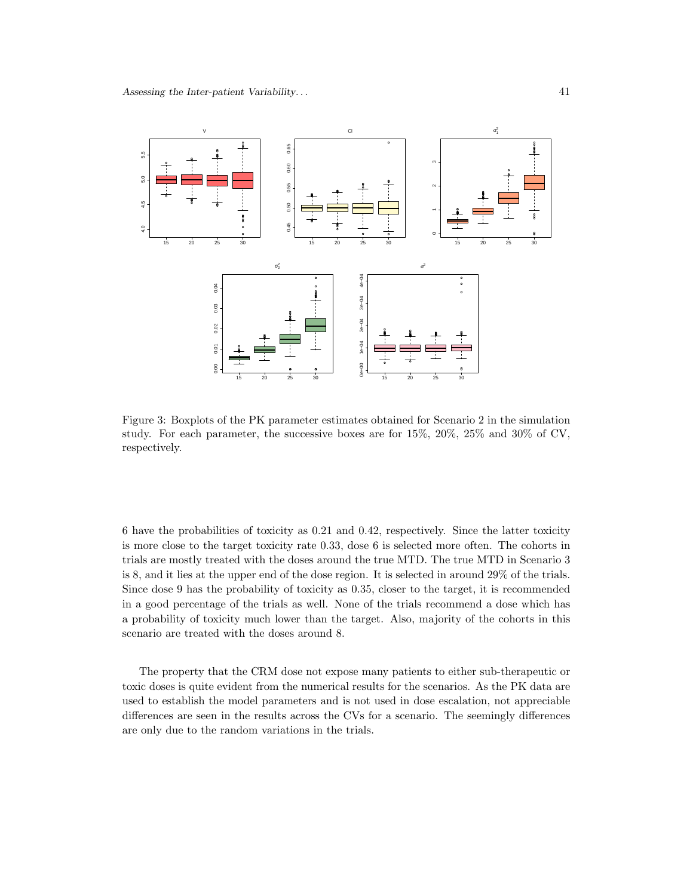

Figure 3: Boxplots of the PK parameter estimates obtained for Scenario 2 in the simulation study. For each parameter, the successive boxes are for 15%, 20%, 25% and 30% of CV, respectively.

6 have the probabilities of toxicity as 0.21 and 0.42, respectively. Since the latter toxicity is more close to the target toxicity rate 0.33, dose 6 is selected more often. The cohorts in trials are mostly treated with the doses around the true MTD. The true MTD in Scenario 3 is 8, and it lies at the upper end of the dose region. It is selected in around 29% of the trials. Since dose 9 has the probability of toxicity as 0.35, closer to the target, it is recommended in a good percentage of the trials as well. None of the trials recommend a dose which has a probability of toxicity much lower than the target. Also, majority of the cohorts in this scenario are treated with the doses around 8.

The property that the CRM dose not expose many patients to either sub-therapeutic or toxic doses is quite evident from the numerical results for the scenarios. As the PK data are used to establish the model parameters and is not used in dose escalation, not appreciable differences are seen in the results across the CVs for a scenario. The seemingly differences are only due to the random variations in the trials.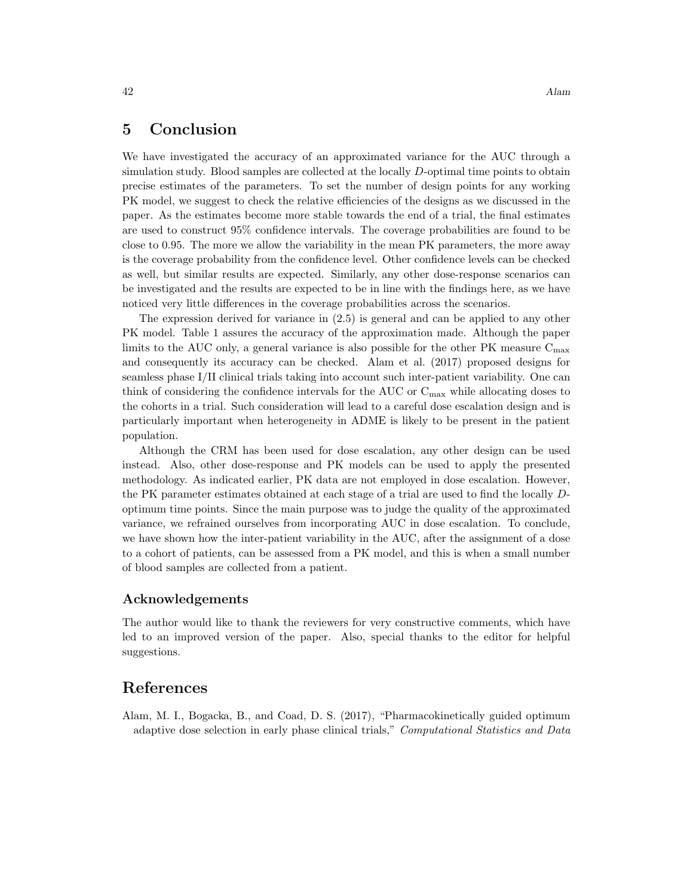### 5 Conclusion

We have investigated the accuracy of an approximated variance for the AUC through a simulation study. Blood samples are collected at the locally D-optimal time points to obtain precise estimates of the parameters. To set the number of design points for any working PK model, we suggest to check the relative efficiencies of the designs as we discussed in the paper. As the estimates become more stable towards the end of a trial, the final estimates are used to construct 95% confidence intervals. The coverage probabilities are found to be close to 0.95. The more we allow the variability in the mean PK parameters, the more away is the coverage probability from the confidence level. Other confidence levels can be checked as well, but similar results are expected. Similarly, any other dose-response scenarios can be investigated and the results are expected to be in line with the findings here, as we have noticed very little differences in the coverage probabilities across the scenarios.

The expression derived for variance in (2.5) is general and can be applied to any other PK model. Table 1 assures the accuracy of the approximation made. Although the paper limits to the AUC only, a general variance is also possible for the other PK measure  $C_{\text{max}}$ and consequently its accuracy can be checked. Alam et al. (2017) proposed designs for seamless phase I/II clinical trials taking into account such inter-patient variability. One can think of considering the confidence intervals for the AUC or  $C_{\text{max}}$  while allocating doses to the cohorts in a trial. Such consideration will lead to a careful dose escalation design and is particularly important when heterogeneity in ADME is likely to be present in the patient population.

Although the CRM has been used for dose escalation, any other design can be used instead. Also, other dose-response and PK models can be used to apply the presented methodology. As indicated earlier, PK data are not employed in dose escalation. However, the PK parameter estimates obtained at each stage of a trial are used to find the locally Doptimum time points. Since the main purpose was to judge the quality of the approximated variance, we refrained ourselves from incorporating AUC in dose escalation. To conclude, we have shown how the inter-patient variability in the AUC, after the assignment of a dose to a cohort of patients, can be assessed from a PK model, and this is when a small number of blood samples are collected from a patient.

#### Acknowledgements

The author would like to thank the reviewers for very constructive comments, which have led to an improved version of the paper. Also, special thanks to the editor for helpful suggestions.

### References

Alam, M. I., Bogacka, B., and Coad, D. S. (2017), "Pharmacokinetically guided optimum adaptive dose selection in early phase clinical trials," Computational Statistics and Data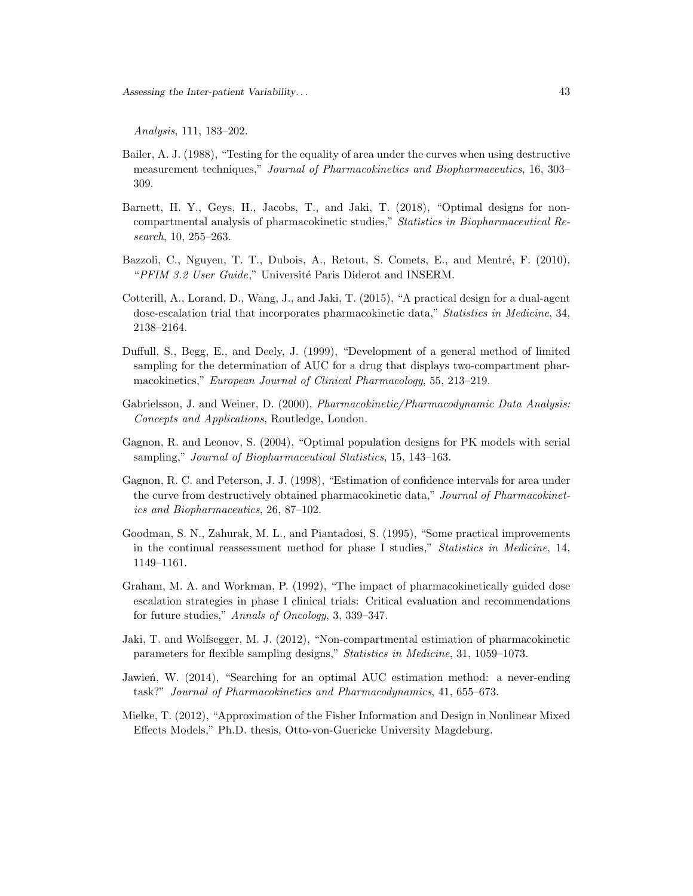Assessing the Inter-patient Variability. . . 43

Analysis, 111, 183–202.

- Bailer, A. J. (1988), "Testing for the equality of area under the curves when using destructive measurement techniques," Journal of Pharmacokinetics and Biopharmaceutics, 16, 303– 309.
- Barnett, H. Y., Geys, H., Jacobs, T., and Jaki, T. (2018), "Optimal designs for noncompartmental analysis of pharmacokinetic studies," Statistics in Biopharmaceutical Research, 10, 255–263.
- Bazzoli, C., Nguyen, T. T., Dubois, A., Retout, S. Comets, E., and Mentré, F. (2010), "PFIM 3.2 User Guide," Université Paris Diderot and INSERM.
- Cotterill, A., Lorand, D., Wang, J., and Jaki, T. (2015), "A practical design for a dual-agent dose-escalation trial that incorporates pharmacokinetic data," Statistics in Medicine, 34, 2138–2164.
- Duffull, S., Begg, E., and Deely, J. (1999), "Development of a general method of limited sampling for the determination of AUC for a drug that displays two-compartment pharmacokinetics," European Journal of Clinical Pharmacology, 55, 213–219.
- Gabrielsson, J. and Weiner, D. (2000), Pharmacokinetic/Pharmacodynamic Data Analysis: Concepts and Applications, Routledge, London.
- Gagnon, R. and Leonov, S. (2004), "Optimal population designs for PK models with serial sampling," Journal of Biopharmaceutical Statistics, 15, 143–163.
- Gagnon, R. C. and Peterson, J. J. (1998), "Estimation of confidence intervals for area under the curve from destructively obtained pharmacokinetic data," Journal of Pharmacokinetics and Biopharmaceutics, 26, 87–102.
- Goodman, S. N., Zahurak, M. L., and Piantadosi, S. (1995), "Some practical improvements in the continual reassessment method for phase I studies," Statistics in Medicine, 14, 1149–1161.
- Graham, M. A. and Workman, P. (1992), "The impact of pharmacokinetically guided dose escalation strategies in phase I clinical trials: Critical evaluation and recommendations for future studies," Annals of Oncology, 3, 339–347.
- Jaki, T. and Wolfsegger, M. J. (2012), "Non-compartmental estimation of pharmacokinetic parameters for flexible sampling designs," Statistics in Medicine, 31, 1059–1073.
- Jawien<sup>\*</sup>, W. (2014), "Searching for an optimal AUC estimation method: a never-ending task?" Journal of Pharmacokinetics and Pharmacodynamics, 41, 655–673.
- Mielke, T. (2012), "Approximation of the Fisher Information and Design in Nonlinear Mixed Effects Models," Ph.D. thesis, Otto-von-Guericke University Magdeburg.